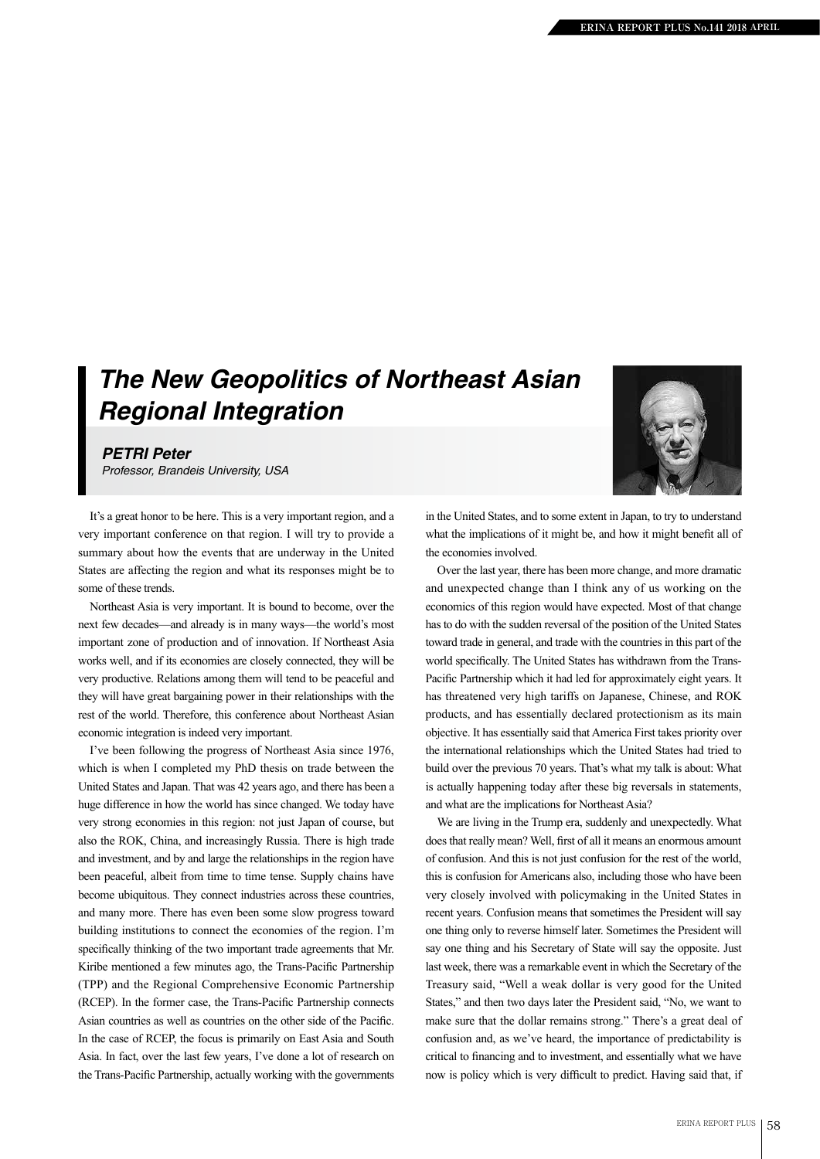## *The New Geopolitics of Northeast Asian Regional Integration*

## *PETRI Peter*

*Professor, Brandeis University, USA*

It's a great honor to be here. This is a very important region, and a very important conference on that region. I will try to provide a summary about how the events that are underway in the United States are affecting the region and what its responses might be to some of these trends.

Northeast Asia is very important. It is bound to become, over the next few decades—and already is in many ways—the world's most important zone of production and of innovation. If Northeast Asia works well, and if its economies are closely connected, they will be very productive. Relations among them will tend to be peaceful and they will have great bargaining power in their relationships with the rest of the world. Therefore, this conference about Northeast Asian economic integration is indeed very important.

I've been following the progress of Northeast Asia since 1976, which is when I completed my PhD thesis on trade between the United States and Japan. That was 42 years ago, and there has been a huge difference in how the world has since changed. We today have very strong economies in this region: not just Japan of course, but also the ROK, China, and increasingly Russia. There is high trade and investment, and by and large the relationships in the region have been peaceful, albeit from time to time tense. Supply chains have become ubiquitous. They connect industries across these countries, and many more. There has even been some slow progress toward building institutions to connect the economies of the region. I'm specifically thinking of the two important trade agreements that Mr. Kiribe mentioned a few minutes ago, the Trans-Pacific Partnership (TPP) and the Regional Comprehensive Economic Partnership (RCEP). In the former case, the Trans-Pacific Partnership connects Asian countries as well as countries on the other side of the Pacific. In the case of RCEP, the focus is primarily on East Asia and South Asia. In fact, over the last few years, I've done a lot of research on the Trans-Pacific Partnership, actually working with the governments



in the United States, and to some extent in Japan, to try to understand what the implications of it might be, and how it might benefit all of the economies involved.

Over the last year, there has been more change, and more dramatic and unexpected change than I think any of us working on the economics of this region would have expected. Most of that change has to do with the sudden reversal of the position of the United States toward trade in general, and trade with the countries in this part of the world specifically. The United States has withdrawn from the Trans-Pacific Partnership which it had led for approximately eight years. It has threatened very high tariffs on Japanese, Chinese, and ROK products, and has essentially declared protectionism as its main objective. It has essentially said that America First takes priority over the international relationships which the United States had tried to build over the previous 70 years. That's what my talk is about: What is actually happening today after these big reversals in statements, and what are the implications for Northeast Asia?

We are living in the Trump era, suddenly and unexpectedly. What does that really mean? Well, first of all it means an enormous amount of confusion. And this is not just confusion for the rest of the world, this is confusion for Americans also, including those who have been very closely involved with policymaking in the United States in recent years. Confusion means that sometimes the President will say one thing only to reverse himself later. Sometimes the President will say one thing and his Secretary of State will say the opposite. Just last week, there was a remarkable event in which the Secretary of the Treasury said, "Well a weak dollar is very good for the United States," and then two days later the President said, "No, we want to make sure that the dollar remains strong." There's a great deal of confusion and, as we've heard, the importance of predictability is critical to financing and to investment, and essentially what we have now is policy which is very difficult to predict. Having said that, if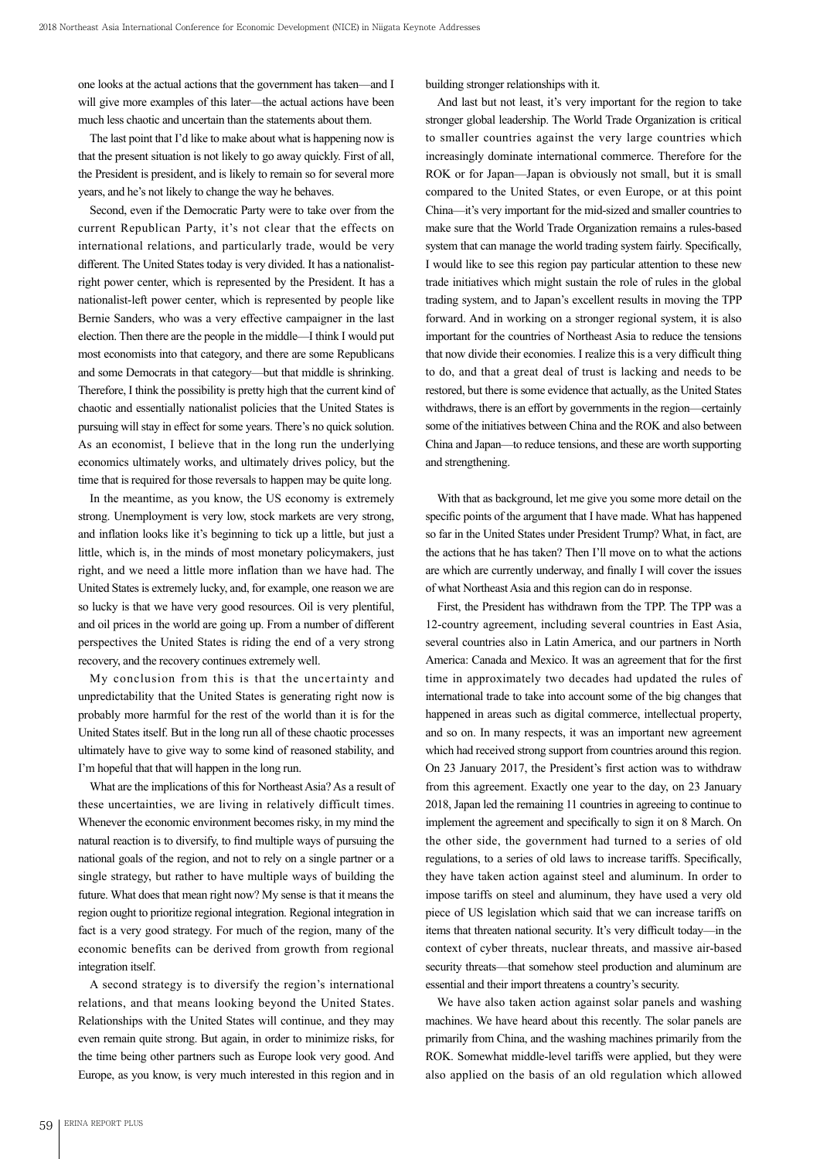one looks at the actual actions that the government has taken—and I will give more examples of this later—the actual actions have been much less chaotic and uncertain than the statements about them.

The last point that I'd like to make about what is happening now is that the present situation is not likely to go away quickly. First of all, the President is president, and is likely to remain so for several more years, and he's not likely to change the way he behaves.

Second, even if the Democratic Party were to take over from the current Republican Party, it's not clear that the effects on international relations, and particularly trade, would be very different. The United States today is very divided. It has a nationalistright power center, which is represented by the President. It has a nationalist-left power center, which is represented by people like Bernie Sanders, who was a very effective campaigner in the last election. Then there are the people in the middle—I think I would put most economists into that category, and there are some Republicans and some Democrats in that category—but that middle is shrinking. Therefore, I think the possibility is pretty high that the current kind of chaotic and essentially nationalist policies that the United States is pursuing will stay in effect for some years. There's no quick solution. As an economist, I believe that in the long run the underlying economics ultimately works, and ultimately drives policy, but the time that is required for those reversals to happen may be quite long.

In the meantime, as you know, the US economy is extremely strong. Unemployment is very low, stock markets are very strong, and inflation looks like it's beginning to tick up a little, but just a little, which is, in the minds of most monetary policymakers, just right, and we need a little more inflation than we have had. The United States is extremely lucky, and, for example, one reason we are so lucky is that we have very good resources. Oil is very plentiful, and oil prices in the world are going up. From a number of different perspectives the United States is riding the end of a very strong recovery, and the recovery continues extremely well.

My conclusion from this is that the uncertainty and unpredictability that the United States is generating right now is probably more harmful for the rest of the world than it is for the United States itself. But in the long run all of these chaotic processes ultimately have to give way to some kind of reasoned stability, and I'm hopeful that that will happen in the long run.

What are the implications of this for Northeast Asia? As a result of these uncertainties, we are living in relatively difficult times. Whenever the economic environment becomes risky, in my mind the natural reaction is to diversify, to find multiple ways of pursuing the national goals of the region, and not to rely on a single partner or a single strategy, but rather to have multiple ways of building the future. What does that mean right now? My sense is that it means the region ought to prioritize regional integration. Regional integration in fact is a very good strategy. For much of the region, many of the economic benefits can be derived from growth from regional integration itself.

A second strategy is to diversify the region's international relations, and that means looking beyond the United States. Relationships with the United States will continue, and they may even remain quite strong. But again, in order to minimize risks, for the time being other partners such as Europe look very good. And Europe, as you know, is very much interested in this region and in building stronger relationships with it.

And last but not least, it's very important for the region to take stronger global leadership. The World Trade Organization is critical to smaller countries against the very large countries which increasingly dominate international commerce. Therefore for the ROK or for Japan—Japan is obviously not small, but it is small compared to the United States, or even Europe, or at this point China—it's very important for the mid-sized and smaller countries to make sure that the World Trade Organization remains a rules-based system that can manage the world trading system fairly. Specifically, I would like to see this region pay particular attention to these new trade initiatives which might sustain the role of rules in the global trading system, and to Japan's excellent results in moving the TPP forward. And in working on a stronger regional system, it is also important for the countries of Northeast Asia to reduce the tensions that now divide their economies. I realize this is a very difficult thing to do, and that a great deal of trust is lacking and needs to be restored, but there is some evidence that actually, as the United States withdraws, there is an effort by governments in the region—certainly some of the initiatives between China and the ROK and also between China and Japan—to reduce tensions, and these are worth supporting and strengthening.

With that as background, let me give you some more detail on the specific points of the argument that I have made. What has happened so far in the United States under President Trump? What, in fact, are the actions that he has taken? Then I'll move on to what the actions are which are currently underway, and finally I will cover the issues of what Northeast Asia and this region can do in response.

First, the President has withdrawn from the TPP. The TPP was a 12-country agreement, including several countries in East Asia, several countries also in Latin America, and our partners in North America: Canada and Mexico. It was an agreement that for the first time in approximately two decades had updated the rules of international trade to take into account some of the big changes that happened in areas such as digital commerce, intellectual property, and so on. In many respects, it was an important new agreement which had received strong support from countries around this region. On 23 January 2017, the President's first action was to withdraw from this agreement. Exactly one year to the day, on 23 January 2018, Japan led the remaining 11 countries in agreeing to continue to implement the agreement and specifically to sign it on 8 March. On the other side, the government had turned to a series of old regulations, to a series of old laws to increase tariffs. Specifically, they have taken action against steel and aluminum. In order to impose tariffs on steel and aluminum, they have used a very old piece of US legislation which said that we can increase tariffs on items that threaten national security. It's very difficult today—in the context of cyber threats, nuclear threats, and massive air-based security threats—that somehow steel production and aluminum are essential and their import threatens a country's security.

We have also taken action against solar panels and washing machines. We have heard about this recently. The solar panels are primarily from China, and the washing machines primarily from the ROK. Somewhat middle-level tariffs were applied, but they were also applied on the basis of an old regulation which allowed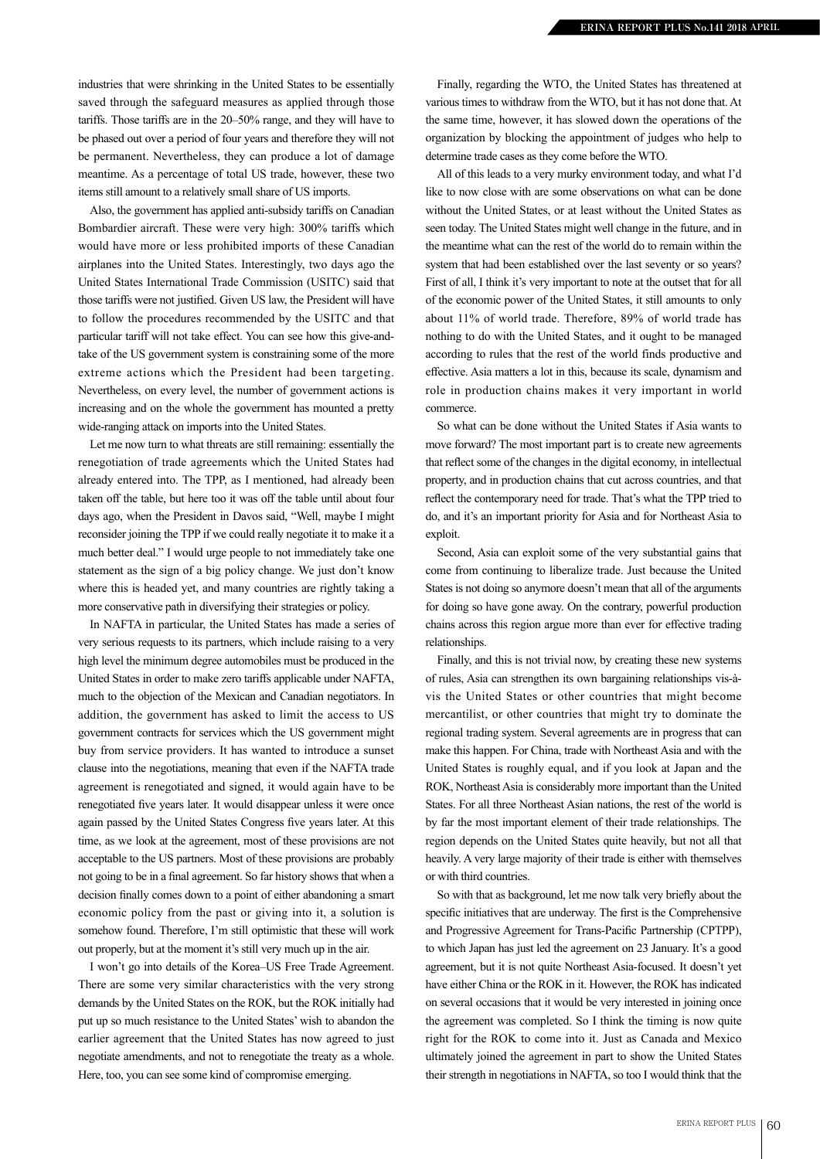industries that were shrinking in the United States to be essentially saved through the safeguard measures as applied through those tariffs. Those tariffs are in the 20–50% range, and they will have to be phased out over a period of four years and therefore they will not be permanent. Nevertheless, they can produce a lot of damage meantime. As a percentage of total US trade, however, these two items still amount to a relatively small share of US imports.

Also, the government has applied anti-subsidy tariffs on Canadian Bombardier aircraft. These were very high: 300% tariffs which would have more or less prohibited imports of these Canadian airplanes into the United States. Interestingly, two days ago the United States International Trade Commission (USITC) said that those tariffs were not justified. Given US law, the President will have to follow the procedures recommended by the USITC and that particular tariff will not take effect. You can see how this give-andtake of the US government system is constraining some of the more extreme actions which the President had been targeting. Nevertheless, on every level, the number of government actions is increasing and on the whole the government has mounted a pretty wide-ranging attack on imports into the United States.

Let me now turn to what threats are still remaining: essentially the renegotiation of trade agreements which the United States had already entered into. The TPP, as I mentioned, had already been taken off the table, but here too it was off the table until about four days ago, when the President in Davos said, "Well, maybe I might reconsider joining the TPP if we could really negotiate it to make it a much better deal." I would urge people to not immediately take one statement as the sign of a big policy change. We just don't know where this is headed yet, and many countries are rightly taking a more conservative path in diversifying their strategies or policy.

In NAFTA in particular, the United States has made a series of very serious requests to its partners, which include raising to a very high level the minimum degree automobiles must be produced in the United States in order to make zero tariffs applicable under NAFTA, much to the objection of the Mexican and Canadian negotiators. In addition, the government has asked to limit the access to US government contracts for services which the US government might buy from service providers. It has wanted to introduce a sunset clause into the negotiations, meaning that even if the NAFTA trade agreement is renegotiated and signed, it would again have to be renegotiated five years later. It would disappear unless it were once again passed by the United States Congress five years later. At this time, as we look at the agreement, most of these provisions are not acceptable to the US partners. Most of these provisions are probably not going to be in a final agreement. So far history shows that when a decision finally comes down to a point of either abandoning a smart economic policy from the past or giving into it, a solution is somehow found. Therefore, I'm still optimistic that these will work out properly, but at the moment it's still very much up in the air.

I won't go into details of the Korea–US Free Trade Agreement. There are some very similar characteristics with the very strong demands by the United States on the ROK, but the ROK initially had put up so much resistance to the United States' wish to abandon the earlier agreement that the United States has now agreed to just negotiate amendments, and not to renegotiate the treaty as a whole. Here, too, you can see some kind of compromise emerging.

Finally, regarding the WTO, the United States has threatened at various times to withdraw from the WTO, but it has not done that. At the same time, however, it has slowed down the operations of the organization by blocking the appointment of judges who help to determine trade cases as they come before the WTO.

All of this leads to a very murky environment today, and what I'd like to now close with are some observations on what can be done without the United States, or at least without the United States as seen today. The United States might well change in the future, and in the meantime what can the rest of the world do to remain within the system that had been established over the last seventy or so years? First of all, I think it's very important to note at the outset that for all of the economic power of the United States, it still amounts to only about 11% of world trade. Therefore, 89% of world trade has nothing to do with the United States, and it ought to be managed according to rules that the rest of the world finds productive and effective. Asia matters a lot in this, because its scale, dynamism and role in production chains makes it very important in world commerce.

So what can be done without the United States if Asia wants to move forward? The most important part is to create new agreements that reflect some of the changes in the digital economy, in intellectual property, and in production chains that cut across countries, and that reflect the contemporary need for trade. That's what the TPP tried to do, and it's an important priority for Asia and for Northeast Asia to exploit.

Second, Asia can exploit some of the very substantial gains that come from continuing to liberalize trade. Just because the United States is not doing so anymore doesn't mean that all of the arguments for doing so have gone away. On the contrary, powerful production chains across this region argue more than ever for effective trading relationships.

Finally, and this is not trivial now, by creating these new systems of rules, Asia can strengthen its own bargaining relationships vis-àvis the United States or other countries that might become mercantilist, or other countries that might try to dominate the regional trading system. Several agreements are in progress that can make this happen. For China, trade with Northeast Asia and with the United States is roughly equal, and if you look at Japan and the ROK, Northeast Asia is considerably more important than the United States. For all three Northeast Asian nations, the rest of the world is by far the most important element of their trade relationships. The region depends on the United States quite heavily, but not all that heavily. A very large majority of their trade is either with themselves or with third countries.

So with that as background, let me now talk very briefly about the specific initiatives that are underway. The first is the Comprehensive and Progressive Agreement for Trans-Pacific Partnership (CPTPP), to which Japan has just led the agreement on 23 January. It's a good agreement, but it is not quite Northeast Asia-focused. It doesn't yet have either China or the ROK in it. However, the ROK has indicated on several occasions that it would be very interested in joining once the agreement was completed. So I think the timing is now quite right for the ROK to come into it. Just as Canada and Mexico ultimately joined the agreement in part to show the United States their strength in negotiations in NAFTA, so too I would think that the